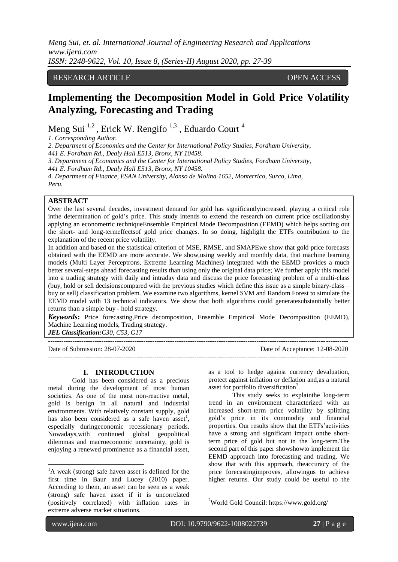# RESEARCH ARTICLE **CONTRACT OPEN ACCESS**

# **Implementing the Decomposition Model in Gold Price Volatility Analyzing, Forecasting and Trading**

Meng Sui <sup>1,2</sup>, Erick W. Rengifo<sup>1,3</sup>, Eduardo Court<sup>4</sup>

*1. Corresponding Author.*

*2. Department of Economics and the Center for International Policy Studies, Fordham University,*

*441 E. Fordham Rd., Dealy Hall E513, Bronx, NY 10458.* 

*3. Department of Economics and the Center for International Policy Studies, Fordham University,*

*441 E. Fordham Rd., Dealy Hall E513, Bronx, NY 10458.* 

*4. Department of Finance, ESAN University, Alonso de Molina 1652, Monterrico, Surco, Lima, Peru.* 

# **ABSTRACT**

Over the last several decades, investment demand for gold has significantlyincreased, playing a critical role inthe determination of gold's price. This study intends to extend the research on current price oscillationsby applying an econometric techniqueEnsemble Empirical Mode Decomposition (EEMD) which helps sorting out the short- and long-termeffectsof gold price changes. In so doing, highlight the ETFs contribution to the explanation of the recent price volatility.

In addition and based on the statistical criterion of MSE, RMSE, and SMAPEwe show that gold price forecasts obtained with the EEMD are more accurate. We show,using weekly and monthly data, that machine learning models (Multi Layer Perceptrons, Extreme Learning Machines) integrated with the EEMD provides a much better several-steps ahead forecasting results than using only the original data price; We further apply this model into a trading strategy with daily and intraday data and discuss the price forecasting problem of a multi-class (buy, hold or sell decisionscompared with the previous studies which define this issue as a simple binary-class – buy or sell) classification problem. We examine two algorithms, kernel SVM and Random Forest to simulate the EEMD model with 13 technical indicators. We show that both algorithms could generatesubstantially better returns than a simple buy - hold strategy.

*Keywords***:** Price forecasting,Price decomposition, Ensemble Empirical Mode Decomposition (EEMD), Machine Learning models, Trading strategy.

*JEL Classification:C30, C53, G17*

---------------------------------------------------------------------------------------------------------------------------------------

Date of Submission: 28-07-2020 Date of Acceptance: 12-08-2020

### **I. INTRODUCTION**

Gold has been considered as a precious metal during the development of most human societies. As one of the most non-reactive metal, gold is benign in all natural and industrial environments. With relatively constant supply, gold has also been considered as a safe haven asset<sup>1</sup>, especially duringeconomic recessionary periods. Nowadays,with continued global geopolitical dilemmas and macroeconomic uncertainty, gold is enjoying a renewed prominence as a financial asset,

as a tool to hedge against currency devaluation, protect against inflation or deflation and,as a natural asset for portfolio diversification<sup>2</sup>.

--------------------------------------------------------------------------------------------------------------------------------------

This study seeks to explainthe long-term trend in an environment characterized with an increased short-term price volatility by splitting gold's price in its commodity and financial properties. Our results show that the ETFs'activities have a strong and significant impact onthe shortterm price of gold but not in the long-term.The second part of this paper showshowto implement the EEMD approach into forecasting and trading. We show that with this approach, theaccuracy of the price forecastingimproves, allowingus to achieve higher returns. Our study could be useful to the

ī

1

1

<sup>&</sup>lt;sup>1</sup>A weak (strong) safe haven asset is defined for the first time in Baur and Lucey (2010) paper. According to them, an asset can be seen as a weak (strong) safe haven asset if it is uncorrelated (positively correlated) with inflation rates in extreme adverse market situations.

<sup>2</sup>[World](file:///C:\Users\msui\AppData\Roaming\Microsoft\Word\World) Gold Council: https://www.gold.org/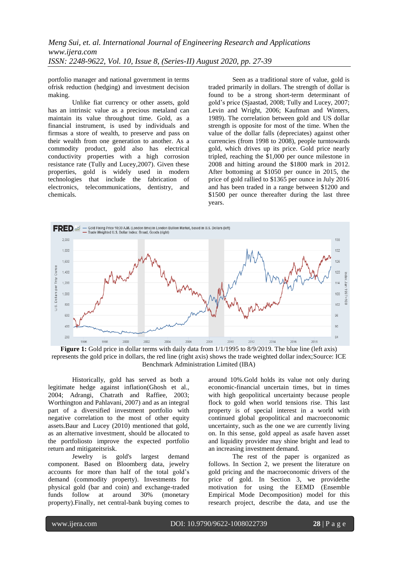portfolio manager and national government in terms ofrisk reduction (hedging) and investment decision making.

Unlike fiat currency or other assets, gold has an intrinsic value as a precious metaland can maintain its value throughout time. Gold, as a financial instrument, is used by individuals and firmsas a store of wealth, to preserve and pass on their wealth from one generation to another. As a commodity product, gold also has electrical conductivity properties with a high corrosion resistance rate (Tully and Lucey,2007). Given these properties, gold is widely used in modern technologies that include the fabrication of electronics, telecommunications, dentistry, and chemicals.

Seen as a traditional store of value, gold is traded primarily in dollars. The strength of dollar is found to be a strong short-term determinant of gold's price (Sjaastad, 2008; Tully and Lucey, 2007; Levin and Wright, 2006; Kaufman and Winters, 1989). The correlation between gold and US dollar strength is opposite for most of the time. When the value of the dollar falls (depreciates) against other currencies (from 1998 to 2008), people turntowards gold, which drives up its price. Gold price nearly tripled, reaching the \$1,000 per ounce milestone in 2008 and hitting around the \$1800 mark in 2012. After bottoming at \$1050 per ounce in 2015, the price of gold rallied to \$1365 per ounce in July 2016 and has been traded in a range between \$1200 and \$1500 per ounce thereafter during the last three years.



represents the gold price in dollars, the red line (right axis) shows the trade weighted dollar index;Source: ICE Benchmark Administration Limited (IBA)

Historically, gold has served as both a legitimate hedge against inflation(Ghosh et al., 2004; Adrangi, Chatrath and Raffiee, 2003; Worthington and Pahlavani, 2007) and as an integral part of a diversified investment portfolio with negative correlation to the most of other equity assets.Baur and Lucey (2010) mentioned that gold, as an alternative investment, should be allocated to the portfoliosto improve the expected portfolio return and mitigateitsrisk.

Jewelry is gold's largest demand component. Based on Bloomberg data, jewelry accounts for more than half of the total gold's demand (commodity property). Investments for physical gold (bar and coin) and exchange-traded funds follow at around 30% (monetary property).Finally, net central-bank buying comes to around 10%.Gold holds its value not only during economic-financial uncertain times, but in times with high geopolitical uncertainty because people flock to gold when world tensions rise. This last property is of special interest in a world with continued global geopolitical and macroeconomic uncertainty, such as the one we are currently living on. In this sense, gold appeal as asafe haven asset and liquidity provider may shine bright and lead to an increasing investment demand.

The rest of the paper is organized as follows. In Section 2, we present the literature on gold pricing and the macroeconomic drivers of the price of gold. In Section 3, we providethe motivation for using the EEMD (Ensemble Empirical Mode Decomposition) model for this research project, describe the data, and use the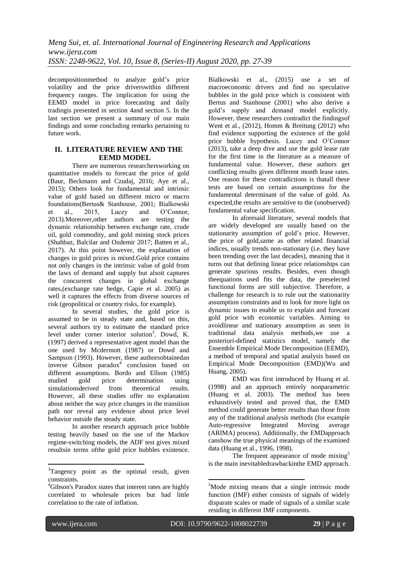decompositionmethod to analyze gold's price volatility and the price driverswithin different frequency ranges. The implication for using the EEMD model in price forecasting and daily tradingis presented in section 4and section 5. In the last section we present a summary of our main findings and some concluding remarks pertaining to future work.

# **II. LITERATURE REVIEW AND THE EEMD MODEL**

There are numerous researchersworking on quantitative models to forecast the price of gold (Baur, Beckmann and Czudaj, 2016; Aye et al., 2015); Others look for fundamental and intrinsic value of gold based on different micro or macro foundations(Bertus& Stanhouse, 2001; Bialkowski et al., 2015, Lucey and O'Connor, 2013).Moreover,other authors are testing the dynamic relationship between exchange rate, crude oil, gold commodity, and gold mining stock prices (Shahbaz, Balcilar and Ozdemir 2017; Batten et al., 2017). At this point however, the explanation of changes in gold prices is mixed.Gold price contains not only changes in the intrinsic value of gold from the laws of demand and supply but alsoit captures the concurrent changes in global exchange rates,(exchange rate hedge, Capie et al. 2005) as well it captures the effects from diverse sources of risk (geopolitical or country risks, for example).

In several studies, the gold price is assumed to be in steady state and, based on this, several authors try to estimate the standard price level under corner interior solution<sup>3</sup>. Dowd, K. (1997) derived a representative agent model than the one used by Mcdermott (1987) or Dowd and Sampson (1993). However, these authorsobtainedan inverse Gibson paradox<sup>4</sup> conclusion based on different assumptions. Bordo and Ellson (1985) studied gold price determination using simulationsderived from theoretical results. However, all these studies offer no explanation about neither the way price changes in the transition path nor reveal any evidence about price level behavior outside the steady state.

In another research approach price bubble testing heavily based on the use of the Markov regime-switching models, the ADF test gives mixed resultsin terms ofthe gold price bubbles existence. Bialkowski et al., (2015) use a set of macroeconomic drivers and find no speculative bubbles in the gold price which is consistent with Bertus and Stanhouse (2001) who also derive a gold's supply and demand model explicitly. However, these researchers contradict the findingsof Went et al., (2012), Homm & Breitung (2012) who find evidence supporting the existence of the gold price bubble hypothesis. Lucey and O'Connor (2013), take a deep dive and use the gold lease rate for the first time in the literature as a measure of fundamental value. However, these authors get conflicting results given different month lease rates. One reason for these contradictions is thatall these tests are based on certain assumptions for the fundamental determinant of the value of gold. As expected,the results are sensitive to the (unobserved) fundamental value specification.

In aforesaid literature, several models that are widely developed are usually based on the stationarity assumption of gold's price. However, the price of gold,same as other related financial indices, usually trends non-stationary (i.e. they have been trending over the last decades), meaning that it turns out that defining linear price relationships can generate spurious results. Besides, even though theequations used fits the data, the preselected functional forms are still subjective. Therefore, a challenge for research is to rule out the stationarity assumption constraints and to look for more light on dynamic issues to enable us to explain and forecast gold price with economic variables. Aiming to avoidlinear and stationary assumption as seen in traditional data analysis methods,we use a posteriori-defined statistics model, namely the Ensemble Empirical Mode Decomposition (EEMD), a method of temporal and spatial analysis based on Empirical Mode Decomposition (EMD)(Wu and Huang, 2005).

EMD was first introduced by Huang et al. (1998) and an approach entirely nonparametric (Huang et al. 2003). The method has been exhaustively tested and proved that, the EMD method could generate better results than those from any of the traditional analysis methods (for example Auto-regressive Integrated Moving average (ARIMA) process). Additionally, the EMDapproach canshow the true physical meanings of the examined data (Huang et al., 1996, 1998).

The frequent appearance of mode mixing<sup>5</sup> is the main inevitabledrawbackinthe EMD approach.

ī

1

**.** 

<sup>&</sup>lt;sup>3</sup>Tangency point as the optimal result, given constraints.

<sup>&</sup>lt;sup>4</sup>Gibson's Paradox states that interest rates are highly correlated to wholesale prices but had little correlation to the rate of inflation.

<sup>&</sup>lt;sup>5</sup>Mode mixing means that a single intrinsic mode function (IMF) either consists of signals of widely disparate scales or made of signals of a similar scale residing in different IMF components.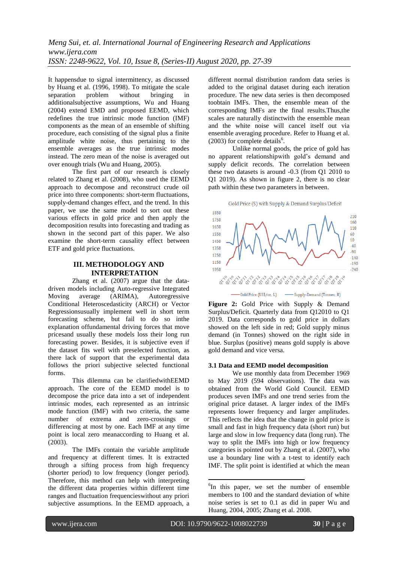It happensdue to signal intermittency, as discussed by Huang et al. (1996, 1998). To mitigate the scale separation problem without bringing in additionalsubjective assumptions, Wu and Huang (2004) extend EMD and proposed EEMD, which redefines the true intrinsic mode function (IMF) components as the mean of an ensemble of shifting procedure, each consisting of the signal plus a finite amplitude white noise, thus pertaining to the ensemble averages as the true intrinsic modes instead. The zero mean of the noise is averaged out over enough trials (Wu and Huang, 2005).

The first part of our research is closely related to Zhang et al. (2008), who used the EEMD approach to decompose and reconstruct crude oil price into three components: short-term fluctuations, supply-demand changes effect, and the trend. In this paper, we use the same model to sort out these various effects in gold price and then apply the decomposition results into forecasting and trading as shown in the second part of this paper. We also examine the short-term causality effect between ETF and gold price fluctuations.

# **III. METHODOLOGY AND INTERPRETATION**

Zhang et al. (2007) argue that the datadriven models including Auto-regressive Integrated Moving average (ARIMA), Autoregressive Conditional Heteroscedasticity (ARCH) or Vector Regressionsusually implement well in short term forecasting scheme, but fail to do so inthe explanation offundamental driving forces that move pricesand usually these models loss their long run forecasting power. Besides, it is subjective even if the dataset fits well with preselected function, as there lack of support that the experimental data follows the priori subjective selected functional forms.

This dilemma can be clarifiedwithEEMD approach. The core of the EEMD model is to decompose the price data into a set of independent intrinsic modes, each represented as an intrinsic mode function (IMF) with two criteria, the same number of extrema and zero-crossings or differencing at most by one. Each IMF at any time point is local zero meanaccording to Huang et al. (2003).

The IMFs contain the variable amplitude and frequency at different times. It is extracted through a sifting process from high frequency (shorter period) to low frequency (longer period). Therefore, this method can help with interpreting the different data properties within different time ranges and fluctuation frequencieswithout any priori subjective assumptions. In the EEMD approach, a different normal distribution random data series is added to the original dataset during each iteration procedure. The new data series is then decomposed toobtain IMFs. Then, the ensemble mean of the corresponding IMFs are the final results.Thus,the scales are naturally distinctwith the ensemble mean and the white noise will cancel itself out via ensemble averaging procedure. Refer to Huang et al.  $(2003)$  for complete details<sup>6</sup>.

Unlike normal goods, the price of gold has no apparent relationshipwith gold's demand and supply deficit records. The correlation between these two datasets is around -0.3 (from Q1 2010 to Q1 2019). As shown in figure 2, there is no clear path within these two parameters in between.





**Figure 2:** Gold Price with Supply & Demand Surplus/Deficit. Quarterly data from Q12010 to Q1 2019. Data corresponds to gold price in dollars showed on the left side in red; Gold supply minus demand (in Tonnes) showed on the right side in blue. Surplus (positive) means gold supply is above gold demand and vice versa.

### **3.1 Data and EEMD model decomposition**

We use monthly data from December 1969 to May 2019 (594 observations). The data was obtained from the World Gold Council. EEMD produces seven IMFs and one trend series from the original price dataset. A larger index of the IMFs represents lower frequency and larger amplitudes. This reflects the idea that the change in gold price is small and fast in high frequency data (short run) but large and slow in low frequency data (long run). The way to split the IMFs into high or low frequency categories is pointed out by Zhang et al. (2007), who use a boundary line with a t-test to identify each IMF. The split point is identified at which the mean

ī

**.** 

<sup>&</sup>lt;sup>6</sup>In this paper, we set the number of ensemble members to 100 and the standard deviation of white noise series is set to 0.1 as did in paper Wu and Huang, 2004, 2005; Zhang et al. 2008.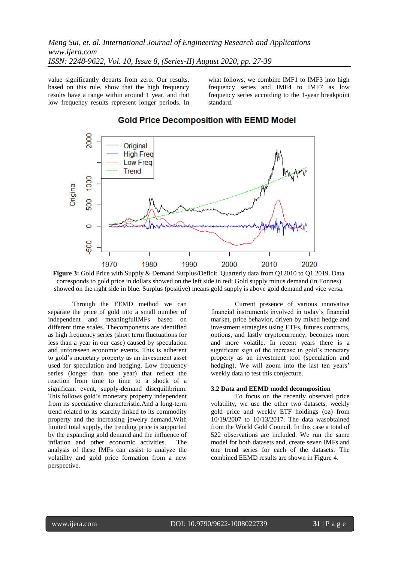value significantly departs from zero. Our results, based on this rule, show that the high frequency results have a range within around 1 year, and that low frequency results represent longer periods. In what follows, we combine IMF1 to IMF3 into high frequency series and IMF4 to IMF7 as low frequency series according to the 1-year breakpoint standard.



# **Gold Price Decomposition with EEMD Model**

**Figure 3:** Gold Price with Supply & Demand Surplus/Deficit. Quarterly data from Q12010 to Q1 2019. Data corresponds to gold price in dollars showed on the left side in red; Gold supply minus demand (in Tonnes) showed on the right side in blue. Surplus (positive) means gold supply is above gold demand and vice versa.

Through the EEMD method we can separate the price of gold into a small number of independent and meaningfulIMFs based on different time scales. Thecomponents are identified as high frequency series (short term fluctuations for less than a year in our case) caused by speculation and unforeseen economic events. This is adherent to gold's monetary property as an investment asset used for speculation and hedging. Low frequency series (longer than one year) that reflect the reaction from time to time to a shock of a significant event, supply-demand disequilibrium. This follows gold's monetary property independent from its speculative characteristic.And a long-term trend related to its scarcity linked to its commodity property and the increasing jewelry demand.With limited total supply, the trending price is supported by the expanding gold demand and the influence of inflation and other economic activities. The analysis of these IMFs can assist to analyze the volatility and gold price formation from a new perspective.

Current presence of various innovative financial instruments involved in today's financial market, price behavior, driven by mixed hedge and investment strategies using ETFs, futures contracts, options, and lastly cryptocurrency, becomes more and more volatile. In recent years there is a significant sign of the increase in gold's monetary property as an investment tool (speculation and hedging). We will zoom into the last ten years' weekly data to test this conjecture.

### **3.2 Data and EEMD model decomposition**

To focus on the recently observed price volatility, we use the other two datasets, weekly gold price and weekly ETF holdings (oz) from 10/19/2007 to 10/13/2017. The data wasobtained from the World Gold Council. In this case a total of 522 observations are included. We run the same model for both datasets and, create seven IMFs and one trend series for each of the datasets. The combined EEMD results are shown in Figure 4.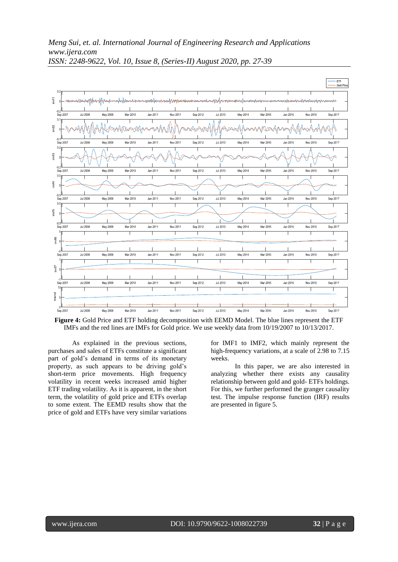

**Figure 4:** Gold Price and ETF holding decomposition with EEMD Model. The blue lines represent the ETF IMFs and the red lines are IMFs for Gold price. We use weekly data from 10/19/2007 to 10/13/2017.

As explained in the previous sections, purchases and sales of ETFs constitute a significant part of gold's demand in terms of its monetary property, as such appears to be driving gold's short-term price movements. High frequency volatility in recent weeks increased amid higher ETF trading volatility. As it is apparent, in the short term, the volatility of gold price and ETFs overlap to some extent. The EEMD results show that the price of gold and ETFs have very similar variations

for IMF1 to IMF2, which mainly represent the high-frequency variations, at a scale of 2.98 to 7.15 weeks.

In this paper, we are also interested in analyzing whether there exists any causality relationship between gold and gold- ETFs holdings. For this, we further performed the granger causality test. The impulse response function (IRF) results are presented in figure 5.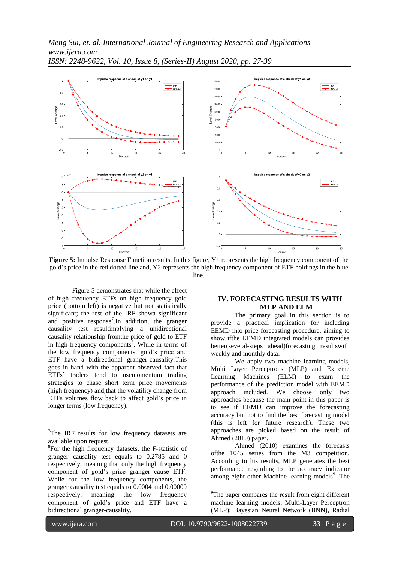

**Figure 5:** Impulse Response Function results. In this figure, Y1 represents the high frequency component of the gold's price in the red dotted line and, Y2 represents the high frequency component of ETF holdings in the blue line.

Figure 5 demonstrates that while the effect of high frequency ETFs on high frequency gold price (bottom left) is negative but not statistically significant; the rest of the IRF showa significant and positive response<sup>7</sup>. In addition, the granger causality test resultimplying a unidirectional causality relationship fromthe price of gold to ETF in high frequency components<sup>8</sup>. While in terms of the low frequency components, gold's price and ETF have a bidirectional granger-causality.This goes in hand with the apparent observed fact that ETFs' traders tend to usemomentum trading strategies to chase short term price movements (high frequency) and,that the volatility change from ETFs volumes flow back to affect gold's price in longer terms (low frequency).

# **IV. FORECASTING RESULTS WITH MLP AND ELM**

The primary goal in this section is to provide a practical implication for including EEMD into price forecasting procedure, aiming to show ifthe EEMD integrated models can providea better(several-steps ahead)forecasting resultswith weekly and monthly data.

We apply two machine learning models, Multi Layer Perceptrons (MLP) and Extreme Learning Machines (ELM) to exam the performance of the prediction model with EEMD approach included. We choose only two approaches because the main point in this paper is to see if EEMD can improve the forecasting accuracy but not to find the best forecasting model (this is left for future research). These two approaches are picked based on the result of Ahmed (2010) paper.

Ahmed (2010) examines the forecasts ofthe 1045 series from the M3 competition. According to his results, MLP generates the best performance regarding to the accuracy indicator among eight other Machine learning models<sup>9</sup>. The

ī

1

**.** 

 $7$ The IRF results for low frequency datasets are available upon request.

<sup>8</sup> For the high frequency datasets, the F-statistic of granger causality test equals to 0.2785 and 0 respectively, meaning that only the high frequency component of gold's price granger cause ETF. While for the low frequency components, the granger causality test equals to 0.0004 and 0.00009 respectively, meaning the low frequency component of gold's price and ETF have a bidirectional granger-causality.

 $\rm{^{9}The}$  paper compares the result from eight different machine learning models: Multi-Layer Perceptron (MLP); Bayesian Neural Network (BNN), Radial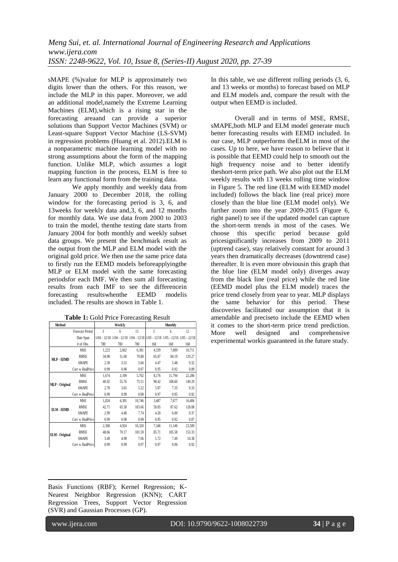sMAPE (%)value for MLP is approximately two digits lower than the others. For this reason, we include the MLP in this paper. Moreover, we add an additional model,namely the Extreme Learning Machines (ELM),which is a rising star in the forecasting areaand can provide a superior solutions than Support Vector Machines (SVM) or Least-square Support Vector Machine (LS-SVM) in regression problems (Huang et al. 2012).ELM is a nonparametric machine learning model with no strong assumptions about the form of the mapping function. Unlike MLP, which assumes a logit mapping function in the process, ELM is free to learn any functional form from the training data.

We apply monthly and weekly data from January 2000 to December 2018, the rolling window for the forecasting period is 3, 6, and 13weeks for weekly data and,3, 6, and 12 months for monthly data. We use data from 2000 to 2003 to train the model, thenthe testing date starts from January 2004 for both monthly and weekly subset data groups. We present the benchmark result as the output from the MLP and ELM model with the original gold price. We then use the same price data to firstly run the EEMD models beforeapplyingthe MLP or ELM model with the same forecasting periodsfor each IMF. We then sum all forecasting results from each IMF to see the differencein forecasting resultswhenthe EEMD modelis included. The results are shown in Table 1.

| Method            |                        | Weekly       |       |        | Monthly      |        |                                                                               |  |
|-------------------|------------------------|--------------|-------|--------|--------------|--------|-------------------------------------------------------------------------------|--|
|                   | <b>Forecast Period</b> | $\mathbf{3}$ | 6     | 13     | $\mathbf{3}$ | 6      | 12                                                                            |  |
|                   | Date Span              |              |       |        |              |        | 1/04 - 12/18 1/04 - 12/18 1/04 - 12/18 1/05 - 12/18 1/05 - 12/18 1/05 - 12/18 |  |
|                   | # of Obs.              | 780          | 780   | 780    | 168          | 168    | 168                                                                           |  |
| MLP - EEMD        | <b>MSE</b>             | 1,223        | 2,662 | 6,381  | 4,339        | 7.089  | 16,711                                                                        |  |
|                   | <b>RMSE</b>            | 34.98        | 51.60 | 79.88  | 65.87        | 84.19  | 129.27                                                                        |  |
|                   | <b>SMAPE</b>           | 2.39         | 3.31  | 5.66   | 4.47         | 5.48   | 9.32                                                                          |  |
|                   | Corr w RealPrice       | 0.99         | 0.98  | 0.97   | 0.95         | 0.92   | 0.89                                                                          |  |
| MLP - Original    | <b>MSE</b>             | 1.674        | 3,109 | 5,702  | 8,176        | 11,794 | 22,286                                                                        |  |
|                   | <b>RMSE</b>            | 40.92        | 55.76 | 75.51  | 90.42        | 108.60 | 149.29                                                                        |  |
|                   | <b>SMAPE</b>           | 2.78         | 3.65  | 5.22   | 5.87         | 7.35   | 9.33                                                                          |  |
|                   | Corr w RealPrice       | 0.99         | 0.99  | 0.98   | 0.97         | 0.95   | 0.92                                                                          |  |
| <b>ELM - EEMD</b> | <b>MSE</b>             | 1,824        | 4,301 | 10,746 | 3,487        | 7,677  | 16,406                                                                        |  |
|                   | <b>RMSE</b>            | 42.71        | 65.58 | 103.66 | 59.05        | 87.62  | 128.08                                                                        |  |
|                   | <b>SMAPE</b>           | 2.99         | 4.48  | 7.74   | 4.20         | 6.00   | 9.37                                                                          |  |
|                   | Corr w RealPrice       | 0.99         | 0.98  | 0.98   | 0.95         | 0.92   | 0.87                                                                          |  |
| ELM - Original    | <b>MSE</b>             | 2,368        | 4,924 | 10,320 | 7,346        | 11,146 | 23,509                                                                        |  |
|                   | RMSE                   | 48.66        | 70.17 | 101.59 | 85.71        | 105.58 | 153.33                                                                        |  |
|                   | <b>SMAPE</b>           | 3.49         | 4.98  | 7.66   | 5.72         | 7.49   | 10.38                                                                         |  |
|                   | Corr w RealPrice       | 0.99         | 0.99  | 0.97   | 0.97         | 0.96   | 0.92                                                                          |  |

**Table 1:** Gold Price Forecasting Result

In this table, we use different rolling periods (3, 6, and 13 weeks or months) to forecast based on MLP and ELM models and, compare the result with the output when EEMD is included.

Overall and in terms of MSE, RMSE, sMAPE,both MLP and ELM model generate much better forecasting results with EEMD included. In our case, MLP outperforms theELM in most of the cases. Up to here, we have reason to believe that it is possible that EEMD could help to smooth out the high frequency noise and to better identify theshort-term price path. We also plot out the ELM weekly results with 13 weeks rolling time window in Figure 5. The red line (ELM with EEMD model included) follows the black line (real price) more closely than the blue line (ELM model only). We further zoom into the year 2009-2015 (Figure 6, right panel) to see if the updated model can capture the short-term trends in most of the cases. We choose this specific period because gold pricesignificantly increases from 2009 to 2011 (uptrend case), stay relatively constant for around 3 years then dramatically decreases (downtrend case) thereafter. It is even more obviousin this graph that the blue line (ELM model only) diverges away from the black line (real price) while the red line (EEMD model plus the ELM model) traces the price trend closely from year to year. MLP displays the same behavior for this period. These discoveries facilitated our assumption that it is amendable and preciseto include the EEMD when it comes to the short-term price trend prediction. More well designed and comprehensive experimental workis guaranteed in the future study.

**.** Basis Functions (RBF); Kernel Regression; K-Nearest Neighbor Regression (KNN); CART Regression Trees, Support Vector Regression (SVR) and Gaussian Processes (GP).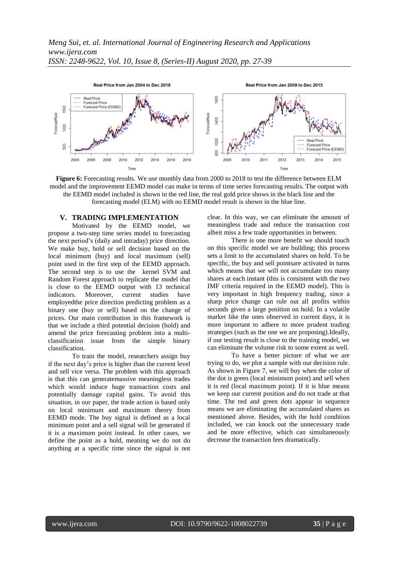

**Figure 6:** Forecasting results. We use monthly data from 2000 to 2018 to test the difference between ELM model and the improvement EEMD model can make in terms of time series forecasting results. The output with the EEMD model included is shown in the red line, the real gold price shows in the black line and the forecasting model (ELM) with no EEMD model result is shown in the blue line.

### **V. TRADING IMPLEMENTATION**

Motivated by the EEMD model, we propose a two-step time series model to forecasting the next period's (daily and intraday) price direction. We make buy, hold or sell decision based on the local minimum (buy) and local maximum (sell) point used in the first step of the EEMD approach. The second step is to use the kernel SVM and Random Forest approach to replicate the model that is close to the EEMD output with 13 technical indicators. Moreover, current studies have employedthe price direction predicting problem as a binary one (buy or sell) based on the change of prices. Our main contribution in this framework is that we include a third potential decision (hold) and amend the price forecasting problem into a multiclassification issue from the simple binary classification.

To train the model, researchers assign buy if the next day's price is higher than the current level and sell vice versa. The problem with this approach is that this can generatemassive meaningless trades which would induce huge transaction costs and potentially damage capital gains. To avoid this situation, in our paper, the trade action is based only on local minimum and maximum theory from EEMD mode. The buy signal is defined as a local minimum point and a sell signal will be generated if it is a maximum point instead. In other cases, we define the point as a hold, meaning we do not do anything at a specific time since the signal is not

clear. In this way, we can eliminate the amount of meaningless trade and reduce the transaction cost albeit miss a few trade opportunities in between.

There is one more benefit we should touch on this specific model we are building; this process sets a limit to the accumulated shares on hold. To be specific, the buy and sell pointsare activated in turns which means that we will not accumulate too many shares at each instant (this is consistent with the two IMF criteria required in the EEMD model). This is very important in high frequency trading, since a sharp price change can rule out all profits within seconds given a large position on hold. In a volatile market like the ones observed in current days, it is more important to adhere to more prudent trading strategies (such as the one we are proposing).Ideally, if our testing result is close to the training model, we can eliminate the volume risk to some extent as well.

To have a better picture of what we are trying to do, we plot a sample with our decision rule. As shown in Figure 7, we will buy when the color of the dot is green (local minimum point) and sell when it is red (local maximum point). If it is blue means we keep our current position and do not trade at that time. The red and green dots appear in sequence means we are eliminating the accumulated shares as mentioned above. Besides, with the hold condition included, we can knock out the unnecessary trade and be more effective, which can simultaneously decrease the transaction fees dramatically.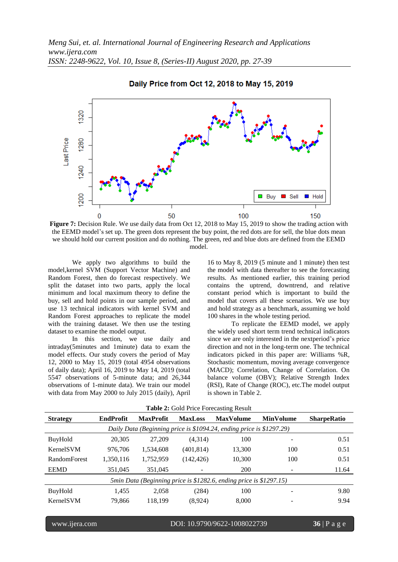

Daily Price from Oct 12, 2018 to May 15, 2019

**Figure 7:** Decision Rule. We use daily data from Oct 12, 2018 to May 15, 2019 to show the trading action with the EEMD model's set up. The green dots represent the buy point, the red dots are for sell, the blue dots mean we should hold our current position and do nothing. The green, red and blue dots are defined from the EEMD model.

We apply two algorithms to build the model,kernel SVM (Support Vector Machine) and Random Forest, then do forecast respectively. We split the dataset into two parts, apply the local minimum and local maximum theory to define the buy, sell and hold points in our sample period, and use 13 technical indicators with kernel SVM and Random Forest approaches to replicate the model with the training dataset. We then use the testing dataset to examine the model output.

In this section, we use daily and intraday(5minutes and 1minute) data to exam the model effects. Our study covers the period of May 12, 2000 to May 15, 2019 (total 4954 observations of daily data); April 16, 2019 to May 14, 2019 (total 5547 observations of 5-minute data; and 26,344 observations of 1-minute data). We train our model with data from May 2000 to July 2015 (daily), April

16 to May 8, 2019 (5 minute and 1 minute) then test the model with data thereafter to see the forecasting results. As mentioned earlier, this training period contains the uptrend, downtrend, and relative constant period which is important to build the model that covers all these scenarios. We use buy and hold strategy as a benchmark, assuming we hold 100 shares in the whole testing period.

To replicate the EEMD model, we apply the widely used short term trend technical indicators since we are only interested in the nextperiod's price direction and not in the long-term one. The technical indicators picked in this paper are: Williams %R, Stochastic momentum, moving average convergence (MACD); Correlation, Change of Correlation. On balance volume (OBV); Relative Strength Index (RSI), Rate of Change (ROC), etc.The model output is shown in Table 2.

| <b>Table 2.</b> Oblit Flice Portcasting Result                       |                  |                  |                |                  |                  |                    |  |  |
|----------------------------------------------------------------------|------------------|------------------|----------------|------------------|------------------|--------------------|--|--|
| <b>Strategy</b>                                                      | <b>EndProfit</b> | <b>MaxProfit</b> | <b>MaxLoss</b> | <b>MaxVolume</b> | <b>MinVolume</b> | <b>SharpeRatio</b> |  |  |
| Daily Data (Beginning price is \$1094.24, ending price is \$1297.29) |                  |                  |                |                  |                  |                    |  |  |
| BuyHold                                                              | 20,305           | 27,209           | (4,314)        | 100              |                  | 0.51               |  |  |
| KernelSVM                                                            | 976.706          | 1,534,608        | (401, 814)     | 13,300           | 100              | 0.51               |  |  |
| <b>RandomForest</b>                                                  | 1,350,116        | 1,752,959        | (142, 426)     | 10,300           | 100              | 0.51               |  |  |
| <b>EEMD</b>                                                          | 351,045          | 351,045          |                | 200              |                  | 11.64              |  |  |
| 5min Data (Beginning price is \$1282.6, ending price is \$1297.15)   |                  |                  |                |                  |                  |                    |  |  |
| BuyHold                                                              | 1.455            | 2,058            | (284)          | 100              |                  | 9.80               |  |  |
| KernelSVM                                                            | 79,866           | 118.199          | (8,924)        | 8,000            |                  | 9.94               |  |  |

**Table 2:** Gold Price Forecasting Result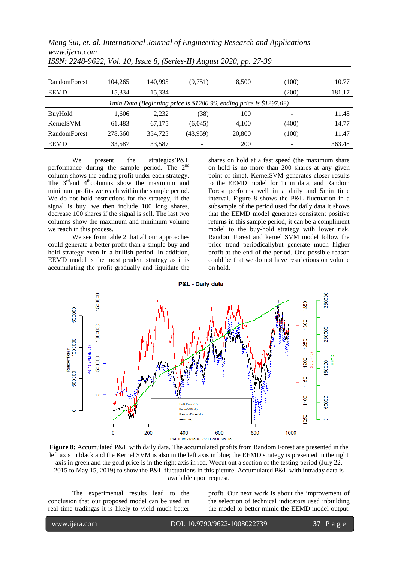*Meng Sui, et. al. International Journal of Engineering Research and Applications www.ijera.com*

| <b>RandomForest</b>                                                        | 104.265 | 140.995 | (9,751)  | 8,500  | (100) | 10.77  |  |  |
|----------------------------------------------------------------------------|---------|---------|----------|--------|-------|--------|--|--|
| <b>EEMD</b>                                                                | 15,334  | 15,334  |          |        | (200) | 181.17 |  |  |
| <i>Imin Data (Beginning price is \$1280.96, ending price is \$1297.02)</i> |         |         |          |        |       |        |  |  |
| BuyHold                                                                    | 1,606   | 2,232   | (38)     | 100    | ۰     | 11.48  |  |  |
| KernelSVM                                                                  | 61,483  | 67.175  | (6,045)  | 4.100  | (400) | 14.77  |  |  |
| <b>RandomForest</b>                                                        | 278,560 | 354,725 | (43,959) | 20,800 | (100) | 11.47  |  |  |
| <b>EEMD</b>                                                                | 33,587  | 33,587  |          | 200    |       | 363.48 |  |  |

*ISSN: 2248-9622, Vol. 10, Issue 8, (Series-II) August 2020, pp. 27-39*

We present the strategies'P&L performance during the sample period. The 2<sup>nd</sup> column shows the ending profit under each strategy. The 3<sup>rd</sup>and 4<sup>th</sup>columns show the maximum and minimum profits we reach within the sample period. We do not hold restrictions for the strategy, if the signal is buy, we then include 100 long shares, decrease 100 shares if the signal is sell. The last two columns show the maximum and minimum volume we reach in this process.

We see from table 2 that all our approaches could generate a better profit than a simple buy and hold strategy even in a bullish period. In addition, EEMD model is the most prudent strategy as it is accumulating the profit gradually and liquidate the shares on hold at a fast speed (the maximum share on hold is no more than 200 shares at any given point of time). KernelSVM generates closer results to the EEMD model for 1min data, and Random Forest performs well in a daily and 5min time interval. Figure 8 shows the P&L fluctuation in a subsample of the period used for daily data.It shows that the EEMD model generates consistent positive returns in this sample period, it can be a compliment model to the buy-hold strategy with lower risk. Random Forest and kernel SVM model follow the price trend periodicallybut generate much higher profit at the end of the period. One possible reason could be that we do not have restrictions on volume on hold.



**Figure 8:** Accumulated P&L with daily data. The accumulated profits from Random Forest are presented in the left axis in black and the Kernel SVM is also in the left axis in blue; the EEMD strategy is presented in the right axis in green and the gold price is in the right axis in red. Wecut out a section of the testing period (July 22, 2015 to May 15, 2019) to show the P&L fluctuations in this picture. Accumulated P&L with intraday data is available upon request.

The experimental results lead to the conclusion that our proposed model can be used in real time tradingas it is likely to yield much better

profit. Our next work is about the improvement of the selection of technical indicators used inbuilding the model to better mimic the EEMD model output.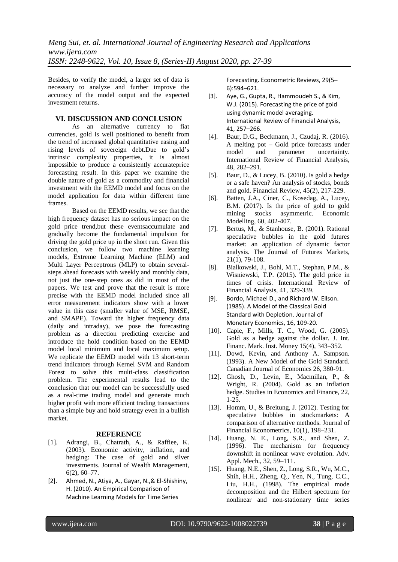Besides, to verify the model, a larger set of data is necessary to analyze and further improve the accuracy of the model output and the expected investment returns.

### **VI. DISCUSSION AND CONCLUSION**

As an alternative currency to fiat currencies, gold is well positioned to benefit from the trend of increased global quantitative easing and rising levels of sovereign debt.Due to gold's intrinsic complexity properties, it is almost impossible to produce a consistently accurateprice forecasting result. In this paper we examine the double nature of gold as a commodity and financial investment with the EEMD model and focus on the model application for data within different time frames.

Based on the EEMD results, we see that the high frequency dataset has no serious impact on the gold price trend,but these eventsaccumulate and gradually become the fundamental impulsion for driving the gold price up in the short run. Given this conclusion, we follow two machine learning models, Extreme Learning Machine (ELM) and Multi Layer Perceptrons (MLP) to obtain severalsteps ahead forecasts with weekly and monthly data, not just the one-step ones as did in most of the papers. We test and prove that the result is more precise with the EEMD model included since all error measurement indicators show with a lower value in this case (smaller value of MSE, RMSE, and SMAPE). Toward the higher frequency data (daily and intraday), we pose the forecasting problem as a direction predicting exercise and introduce the hold condition based on the EEMD model local minimum and local maximum setup. We replicate the EEMD model with 13 short-term trend indicators through Kernel SVM and Random Forest to solve this multi-class classification problem. The experimental results lead to the conclusion that our model can be successfully used as a real-time trading model and generate much higher profit with more efficient trading transactions than a simple buy and hold strategy even in a bullish market.

### **REFERENCE**

- [1]. Adrangi, B., Chatrath, A., & Raffiee, K. (2003). Economic activity, inflation, and hedging: The case of gold and silver investments. Journal of Wealth Management, 6(2), 60–77.
- [2]. Ahmed, N., Atiya, A., Gayar, N.,& El-Shishiny, H. (2010). An Empirical Comparison of Machine Learning Models for Time Series

Forecasting. Econometric Reviews, 29(5– 6):594–621.

- [3]. Aye, G., Gupta, R., Hammoudeh S., & Kim, W.J. (2015). Forecasting the price of gold using dynamic model averaging. International Review of Financial Analysis, 41, 257–266.
- [4]. Baur, D.G., Beckmann, J., Czudaj, R. (2016). A melting pot – Gold price forecasts under model and parameter uncertainty. International Review of Financial Analysis, 48, 282–291.
- [5]. Baur, D., & Lucey, B. (2010). Is gold a hedge or a safe haven? An analysis of stocks, bonds and gold. Financial Review, 45(2), 217-229.
- [6]. Batten, J.A., Ciner, C., Kosedag, A., Lucey, B.M. (2017). Is the price of gold to gold mining stocks asymmetric. Economic Modelling, 60, 402-407.
- [7]. Bertus, M., & Stanhouse, B. (2001). Rational speculative bubbles in the gold futures market: an application of dynamic factor analysis. The Journal of Futures Markets, 21(1), 79-108.
- [8]. Bialkowski, J., Bohl, M.T., Stephan, P.M., & Wisniewski, T.P. (2015). The gold price in times of crisis. International Review of Financial Analysis, 41, 329-339.
- [9]. Bordo, Michael D., and Richard W. Ellson. (1985). A Model of the Classical Gold Standard with Depletion. Journal of Monetary Economics, 16, 109-20.
- [10]. Capie, F., Mills, T. C., Wood, G. (2005). Gold as a hedge against the dollar. J. Int. Financ. Mark. Inst. Money 15(4), 343–352.
- [11]. Dowd, Kevin, and Anthony A. Sampson. (1993). A New Model of the Gold Standard. Canadian Journal of Economics 26, 380-91.
- [12]. Ghosh, D., Levin, E., Macmillan, P., & Wright, R. (2004). Gold as an inflation hedge. Studies in Economics and Finance, 22, 1-25.
- [13]. Homm, U., & Breitung, J. (2012). Testing for speculative bubbles in stockmarkets: A comparison of alternative methods. Journal of Financial Econometrics, 10(1), 198–231.
- [14]. Huang, N. E., Long, S.R., and Shen, Z. (1996). The mechanism for frequency downshift in nonlinear wave evolution. Adv. Appl. Mech., 32, 59–111.
- [15]. Huang, N.E., Shen, Z., Long, S.R., Wu, M.C., Shih, H.H., Zheng, Q., Yen, N., Tung, C.C., Liu, H.H., (1998). The empirical mode decomposition and the Hilbert spectrum for nonlinear and non-stationary time series